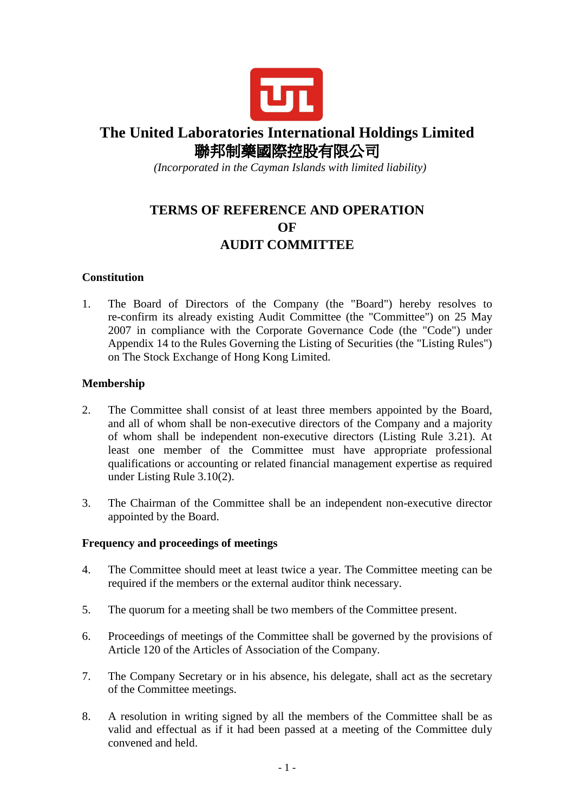

# **The United Laboratories International Holdings Limited**  聯邦制藥國際控股有限公司

 *(Incorporated in the Cayman Islands with limited liability)* 

## **TERMS OF REFERENCE AND OPERATION OF AUDIT COMMITTEE**

### **Constitution**

1. The Board of Directors of the Company (the "Board") hereby resolves to re-confirm its already existing Audit Committee (the "Committee") on 25 May 2007 in compliance with the Corporate Governance Code (the "Code") under Appendix 14 to the Rules Governing the Listing of Securities (the "Listing Rules") on The Stock Exchange of Hong Kong Limited.

### **Membership**

- 2. The Committee shall consist of at least three members appointed by the Board, and all of whom shall be non-executive directors of the Company and a majority of whom shall be independent non-executive directors (Listing Rule 3.21). At least one member of the Committee must have appropriate professional qualifications or accounting or related financial management expertise as required under Listing Rule 3.10(2).
- 3. The Chairman of the Committee shall be an independent non-executive director appointed by the Board.

#### **Frequency and proceedings of meetings**

- 4. The Committee should meet at least twice a year. The Committee meeting can be required if the members or the external auditor think necessary.
- 5. The quorum for a meeting shall be two members of the Committee present.
- 6. Proceedings of meetings of the Committee shall be governed by the provisions of Article 120 of the Articles of Association of the Company.
- 7. The Company Secretary or in his absence, his delegate, shall act as the secretary of the Committee meetings.
- 8. A resolution in writing signed by all the members of the Committee shall be as valid and effectual as if it had been passed at a meeting of the Committee duly convened and held.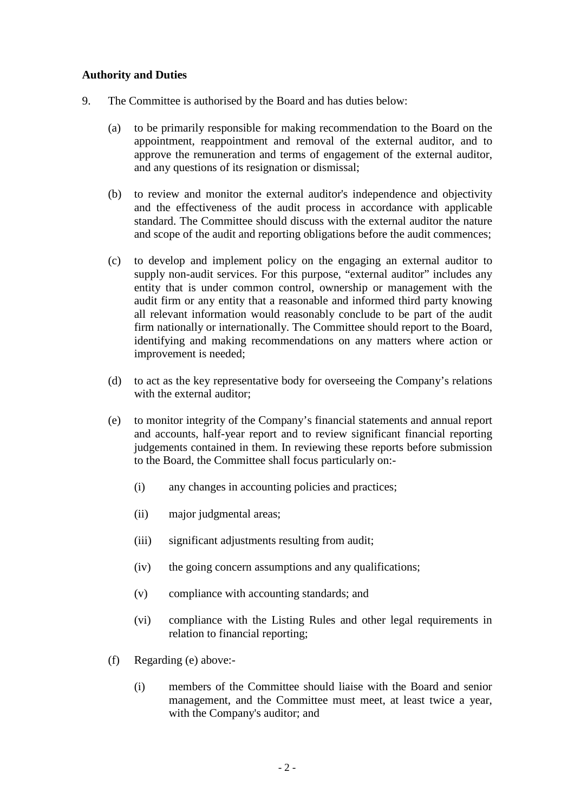### **Authority and Duties**

- 9. The Committee is authorised by the Board and has duties below:
	- (a) to be primarily responsible for making recommendation to the Board on the appointment, reappointment and removal of the external auditor, and to approve the remuneration and terms of engagement of the external auditor, and any questions of its resignation or dismissal;
	- (b) to review and monitor the external auditor's independence and objectivity and the effectiveness of the audit process in accordance with applicable standard. The Committee should discuss with the external auditor the nature and scope of the audit and reporting obligations before the audit commences;
	- (c) to develop and implement policy on the engaging an external auditor to supply non-audit services. For this purpose, "external auditor" includes any entity that is under common control, ownership or management with the audit firm or any entity that a reasonable and informed third party knowing all relevant information would reasonably conclude to be part of the audit firm nationally or internationally. The Committee should report to the Board, identifying and making recommendations on any matters where action or improvement is needed;
	- (d) to act as the key representative body for overseeing the Company's relations with the external auditor;
	- (e) to monitor integrity of the Company's financial statements and annual report and accounts, half-year report and to review significant financial reporting judgements contained in them. In reviewing these reports before submission to the Board, the Committee shall focus particularly on:-
		- (i) any changes in accounting policies and practices;
		- (ii) major judgmental areas;
		- (iii) significant adjustments resulting from audit;
		- (iv) the going concern assumptions and any qualifications;
		- (v) compliance with accounting standards; and
		- (vi) compliance with the Listing Rules and other legal requirements in relation to financial reporting;
	- (f) Regarding (e) above:-
		- (i) members of the Committee should liaise with the Board and senior management, and the Committee must meet, at least twice a year, with the Company's auditor; and